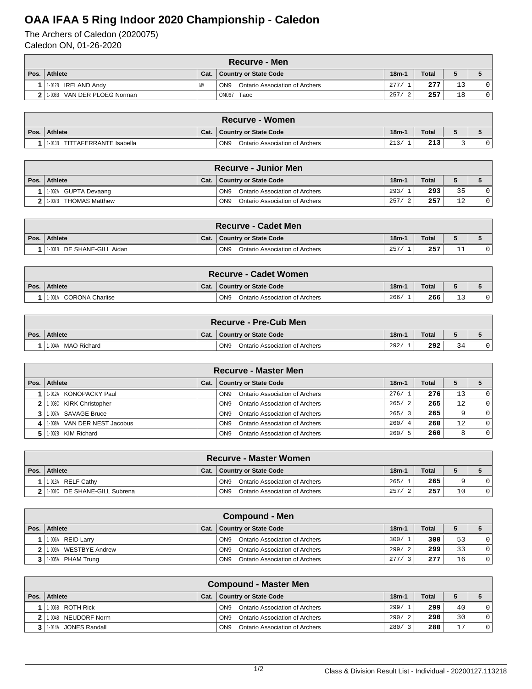## **OAA IFAA 5 Ring Indoor 2020 Championship - Caledon**

The Archers of Caledon (2020075) Caledon ON, 01-26-2020

|      | <b>Recurve - Men</b>           |           |                                                   |         |              |    |  |  |  |  |  |
|------|--------------------------------|-----------|---------------------------------------------------|---------|--------------|----|--|--|--|--|--|
| Pos. | Athlete                        | Cat.      | <b>Country or State Code</b>                      | $18m-1$ | <b>Total</b> |    |  |  |  |  |  |
|      | 1-012B IRELAND Andy            | <b>MN</b> | ON <sub>9</sub><br>Ontario Association of Archers | 277/    | 277          | 13 |  |  |  |  |  |
|      | VAN DER PLOEG Norman<br>1-008B |           | <b>ON067</b><br>Taoc                              | 257/    | 257          | 18 |  |  |  |  |  |

| <b>Recurve - Women</b>            |      |                                                   |         |              |  |  |  |  |  |
|-----------------------------------|------|---------------------------------------------------|---------|--------------|--|--|--|--|--|
| Pos. Athlete                      | Cat. | <b>Country or State Code</b>                      | $18m-1$ | <b>Total</b> |  |  |  |  |  |
| TITTAFERRANTE Isabella<br>.- 013B |      | ON <sub>9</sub><br>Ontario Association of Archers | 213/    | 213          |  |  |  |  |  |

|              | <b>Recurve - Junior Men</b>     |      |                                                   |         |       |           |  |  |  |  |
|--------------|---------------------------------|------|---------------------------------------------------|---------|-------|-----------|--|--|--|--|
| Pos. $\vert$ | <b>Athlete</b>                  | Cat. | <b>Country or State Code</b>                      | $18m-1$ | Total |           |  |  |  |  |
|              | 1-002A GUPTA Devaang            |      | ON <sub>9</sub><br>Ontario Association of Archers | 293/    | 293   | 35        |  |  |  |  |
|              | <b>THOMAS Matthew</b><br>1-007B |      | ON <sub>9</sub><br>Ontario Association of Archers | 257/    | 257   | 1 O<br>∸∠ |  |  |  |  |

|         | <b>Recurve - Cadet Men</b> |      |                                                   |         |              |    |  |  |  |  |
|---------|----------------------------|------|---------------------------------------------------|---------|--------------|----|--|--|--|--|
| Pos. I. | Athlete                    | Cat. | Country or State Code                             | $18m-1$ | <b>Total</b> |    |  |  |  |  |
|         | 1-001B DE SHANE-GILL Aidan |      | ON <sub>9</sub><br>Ontario Association of Archers | 257     | 257          | ᆠᆇ |  |  |  |  |

|      | <b>Recurve - Cadet Women</b> |      |                                                   |         |              |             |  |  |  |  |
|------|------------------------------|------|---------------------------------------------------|---------|--------------|-------------|--|--|--|--|
| Pos. | Athlete                      | Cat. | Country or State Code                             | $18m-1$ | <b>Total</b> |             |  |  |  |  |
|      | 1-001A CORONA Charlise       |      | ON <sub>9</sub><br>Ontario Association of Archers | 266/    | 266          | $\sim$<br>ᅩ |  |  |  |  |

| <b>Recurve - Pre-Cub Men</b> |      |                                                   |         |       |    |  |  |  |
|------------------------------|------|---------------------------------------------------|---------|-------|----|--|--|--|
| Pos. Athlete                 | Cat. | Country or State Code                             | $18m-1$ | Total |    |  |  |  |
| MAO Richard<br>1-004A        |      | ON <sub>9</sub><br>Ontario Association of Archers | 292/    | 292   | 34 |  |  |  |

|      | <b>Recurve - Master Men</b>  |      |                                                   |         |              |    |          |  |  |  |  |
|------|------------------------------|------|---------------------------------------------------|---------|--------------|----|----------|--|--|--|--|
| Pos. | Athlete                      | Cat. | <b>Country or State Code</b>                      | $18m-1$ | <b>Total</b> |    |          |  |  |  |  |
|      | 1-012A KONOPACKY Paul        |      | Ontario Association of Archers<br>ON <sub>9</sub> | 276/1   | 276          | 13 | $\Omega$ |  |  |  |  |
|      | 2 1.003C KIRK Christopher    |      | Ontario Association of Archers<br>ON <sub>9</sub> | 265/2   | 265          | 12 | $\Omega$ |  |  |  |  |
|      | 1-007A SAVAGE Bruce          |      | Ontario Association of Archers<br>ON <sub>9</sub> | 265/3   | 265          | 9  | $\Omega$ |  |  |  |  |
|      | 11-008A VAN DER NEST Jacobus |      | Ontario Association of Archers<br>ON <sub>9</sub> | 260/4   | 260          | 12 | $\Omega$ |  |  |  |  |
|      | 1.002B KIM Richard           |      | ON <sub>9</sub><br>Ontario Association of Archers | 260/5   | 260          | 8  | $\Omega$ |  |  |  |  |

|      | <b>Recurve - Master Women</b>  |      |                                                   |         |              |    |  |  |  |  |
|------|--------------------------------|------|---------------------------------------------------|---------|--------------|----|--|--|--|--|
| Pos. | Athlete                        | Cat. | Country or State Code                             | $18m-1$ | <b>Total</b> |    |  |  |  |  |
|      | 1.013A RELF Cathy              |      | Ontario Association of Archers<br>ON <sub>9</sub> | 265/    | 265          | ч  |  |  |  |  |
|      | 2 1:0010 DE SHANE-GILL Subrena |      | ON <sub>9</sub><br>Ontario Association of Archers | 257/    | 257          | 10 |  |  |  |  |

| Compound - Men        |      |                                                   |         |              |    |  |  |  |  |
|-----------------------|------|---------------------------------------------------|---------|--------------|----|--|--|--|--|
| Pos.   Athlete        | Cat. | Country or State Code                             | $18m-1$ | <b>Total</b> |    |  |  |  |  |
| 1-006A REID Larry     |      | Ontario Association of Archers<br>ON <sub>9</sub> | 300/1   | 300          | 53 |  |  |  |  |
| 1-009A WESTBYE Andrew |      | ON <sub>9</sub><br>Ontario Association of Archers | 299/2   | 299          | 33 |  |  |  |  |
| 1-005A PHAM Trung     |      | Ontario Association of Archers<br>ON <sub>9</sub> | 277/    | 277          | 16 |  |  |  |  |

| <b>Compound - Master Men</b> |      |                                                   |         |              |                |                |  |  |  |  |
|------------------------------|------|---------------------------------------------------|---------|--------------|----------------|----------------|--|--|--|--|
| Pos.   Athlete               | Cat. | Country or State Code                             | $18m-1$ | <b>Total</b> |                |                |  |  |  |  |
| 1-006B ROTH Rick             |      | Ontario Association of Archers<br>ON <sub>9</sub> | 299/1   | 299          | 40             | $\mathbf{0}$   |  |  |  |  |
| 1-004B NEUDORF Norm          |      | Ontario Association of Archers<br>ON <sub>9</sub> | 290/2   | 290          | 30             | $\overline{0}$ |  |  |  |  |
| 1-014A JONES Randall         |      | Ontario Association of Archers<br>ON <sub>9</sub> | 280/3   | 280          | 1 <sub>7</sub> | $\mathbf{0}$   |  |  |  |  |